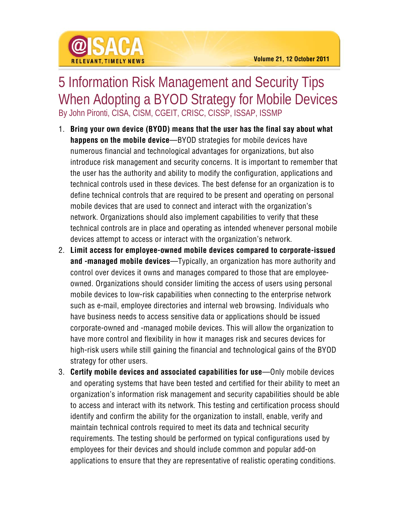

## 5 Information Risk Management and Security Tips When Adopting a BYOD Strategy for Mobile Devices By John Pironti, CISA, CISM, CGEIT, CRISC, CISSP, ISSAP, ISSMP

- 1. **Bring your own device (BYOD) means that the user has the final say about what happens on the mobile device**—BYOD strategies for mobile devices have numerous financial and technological advantages for organizations, but also introduce risk management and security concerns. It is important to remember that the user has the authority and ability to modify the configuration, applications and technical controls used in these devices. The best defense for an organization is to define technical controls that are required to be present and operating on personal mobile devices that are used to connect and interact with the organization's network. Organizations should also implement capabilities to verify that these technical controls are in place and operating as intended whenever personal mobile devices attempt to access or interact with the organization's network.
- 2. **Limit access for employee-owned mobile devices compared to corporate-issued and -managed mobile devices**—Typically, an organization has more authority and control over devices it owns and manages compared to those that are employeeowned. Organizations should consider limiting the access of users using personal mobile devices to low-risk capabilities when connecting to the enterprise network such as e-mail, employee directories and internal web browsing. Individuals who have business needs to access sensitive data or applications should be issued corporate-owned and -managed mobile devices. This will allow the organization to have more control and flexibility in how it manages risk and secures devices for high-risk users while still gaining the financial and technological gains of the BYOD strategy for other users.
- 3. **Certify mobile devices and associated capabilities for use**—Only mobile devices and operating systems that have been tested and certified for their ability to meet an organization's information risk management and security capabilities should be able to access and interact with its network. This testing and certification process should identify and confirm the ability for the organization to install, enable, verify and maintain technical controls required to meet its data and technical security requirements. The testing should be performed on typical configurations used by employees for their devices and should include common and popular add-on applications to ensure that they are representative of realistic operating conditions.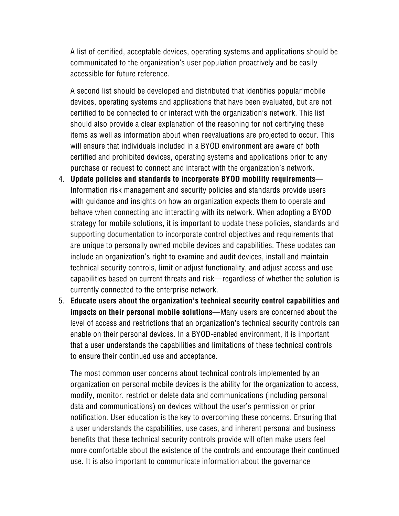A list of certified, acceptable devices, operating systems and applications should be communicated to the organization's user population proactively and be easily accessible for future reference.

A second list should be developed and distributed that identifies popular mobile devices, operating systems and applications that have been evaluated, but are not certified to be connected to or interact with the organization's network. This list should also provide a clear explanation of the reasoning for not certifying these items as well as information about when reevaluations are projected to occur. This will ensure that individuals included in a BYOD environment are aware of both certified and prohibited devices, operating systems and applications prior to any purchase or request to connect and interact with the organization's network.

- 4. **Update policies and standards to incorporate BYOD mobility requirements** Information risk management and security policies and standards provide users with guidance and insights on how an organization expects them to operate and behave when connecting and interacting with its network. When adopting a BYOD strategy for mobile solutions, it is important to update these policies, standards and supporting documentation to incorporate control objectives and requirements that are unique to personally owned mobile devices and capabilities. These updates can include an organization's right to examine and audit devices, install and maintain technical security controls, limit or adjust functionality, and adjust access and use capabilities based on current threats and risk—regardless of whether the solution is currently connected to the enterprise network.
- 5. **Educate users about the organization's technical security control capabilities and impacts on their personal mobile solutions**—Many users are concerned about the level of access and restrictions that an organization's technical security controls can enable on their personal devices. In a BYOD-enabled environment, it is important that a user understands the capabilities and limitations of these technical controls to ensure their continued use and acceptance.

The most common user concerns about technical controls implemented by an organization on personal mobile devices is the ability for the organization to access, modify, monitor, restrict or delete data and communications (including personal data and communications) on devices without the user's permission or prior notification. User education is the key to overcoming these concerns. Ensuring that a user understands the capabilities, use cases, and inherent personal and business benefits that these technical security controls provide will often make users feel more comfortable about the existence of the controls and encourage their continued use. It is also important to communicate information about the governance